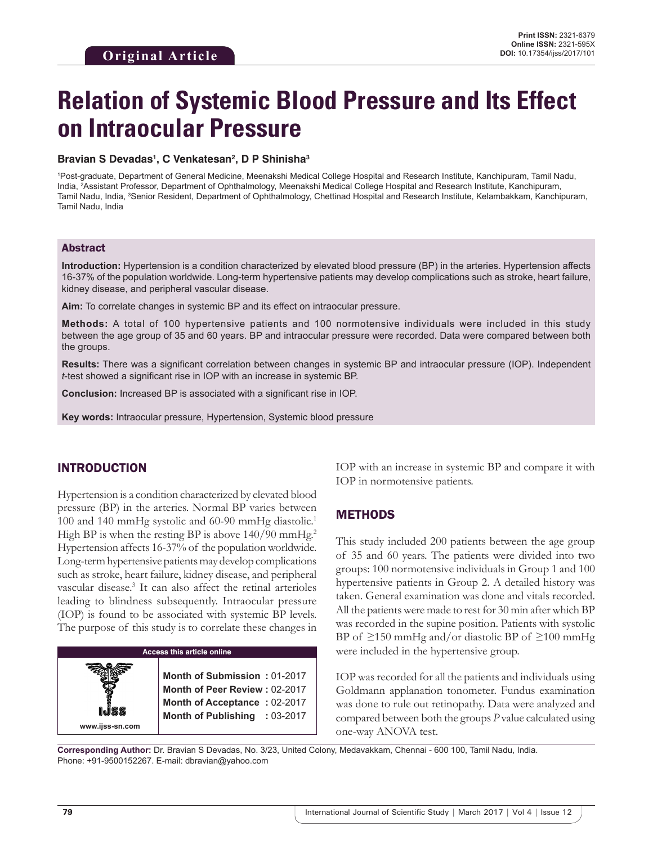# **Relation of Systemic Blood Pressure and Its Effect on Intraocular Pressure**

#### **Bravian S Devadas1 , C Venkatesan2 , D P Shinisha3**

1 Post-graduate, Department of General Medicine, Meenakshi Medical College Hospital and Research Institute, Kanchipuram, Tamil Nadu, India, <sup>2</sup> Assistant Professor, Department of Ophthalmology, Meenakshi Medical College Hospital and Research Institute, Kanchipuram, Tamil Nadu, India, <sup>3</sup>Senior Resident, Department of Ophthalmology, Chettinad Hospital and Research Institute, Kelambakkam, Kanchipuram, Tamil Nadu, India

#### Abstract

**Introduction:** Hypertension is a condition characterized by elevated blood pressure (BP) in the arteries. Hypertension affects 16-37% of the population worldwide. Long-term hypertensive patients may develop complications such as stroke, heart failure, kidney disease, and peripheral vascular disease.

**Aim:** To correlate changes in systemic BP and its effect on intraocular pressure.

**Methods:** A total of 100 hypertensive patients and 100 normotensive individuals were included in this study between the age group of 35 and 60 years. BP and intraocular pressure were recorded. Data were compared between both the groups.

**Results:** There was a significant correlation between changes in systemic BP and intraocular pressure (IOP). Independent *t*-test showed a significant rise in IOP with an increase in systemic BP.

**Conclusion:** Increased BP is associated with a significant rise in IOP.

**Key words:** Intraocular pressure, Hypertension, Systemic blood pressure

#### INTRODUCTION

Hypertension is a condition characterized by elevated blood pressure (BP) in the arteries. Normal BP varies between 100 and 140 mmHg systolic and 60-90 mmHg diastolic.<sup>1</sup> High BP is when the resting BP is above 140/90 mmHg.<sup>2</sup> Hypertension affects 16-37% of the population worldwide. Long-term hypertensive patients may develop complications such as stroke, heart failure, kidney disease, and peripheral vascular disease.3 It can also affect the retinal arterioles leading to blindness subsequently. Intraocular pressure (IOP) is found to be associated with systemic BP levels. The purpose of this study is to correlate these changes in

| <b>Access this article online</b> |                                                                                                                                |  |  |  |
|-----------------------------------|--------------------------------------------------------------------------------------------------------------------------------|--|--|--|
|                                   | Month of Submission: 01-2017<br>Month of Peer Review: 02-2017<br>Month of Acceptance: 02-2017<br>Month of Publishing : 03-2017 |  |  |  |
| www.ijss-sn.com                   |                                                                                                                                |  |  |  |

IOP with an increase in systemic BP and compare it with IOP in normotensive patients.

#### METHODS

This study included 200 patients between the age group of 35 and 60 years. The patients were divided into two groups: 100 normotensive individuals in Group 1 and 100 hypertensive patients in Group 2. A detailed history was taken. General examination was done and vitals recorded. All the patients were made to rest for 30 min after which BP was recorded in the supine position. Patients with systolic BP of  $\geq$ 150 mmHg and/or diastolic BP of  $\geq$ 100 mmHg were included in the hypertensive group.

IOP was recorded for all the patients and individuals using Goldmann applanation tonometer. Fundus examination was done to rule out retinopathy. Data were analyzed and compared between both the groups *P* value calculated using one-way ANOVA test.

**Corresponding Author:** Dr. Bravian S Devadas, No. 3/23, United Colony, Medavakkam, Chennai - 600 100, Tamil Nadu, India. Phone: +91-9500152267. E-mail: dbravian@yahoo.com